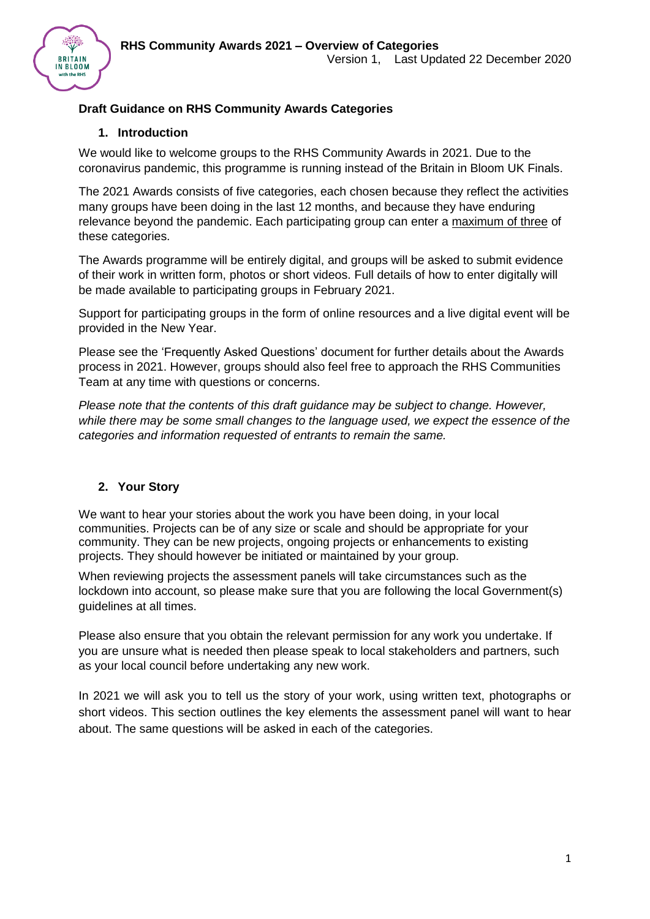

## **Draft Guidance on RHS Community Awards Categories**

### **1. Introduction**

We would like to welcome groups to the RHS Community Awards in 2021. Due to the coronavirus pandemic, this programme is running instead of the Britain in Bloom UK Finals.

The 2021 Awards consists of five categories, each chosen because they reflect the activities many groups have been doing in the last 12 months, and because they have enduring relevance beyond the pandemic. Each participating group can enter a maximum of three of these categories.

The Awards programme will be entirely digital, and groups will be asked to submit evidence of their work in written form, photos or short videos. Full details of how to enter digitally will be made available to participating groups in February 2021.

Support for participating groups in the form of online resources and a live digital event will be provided in the New Year.

Please see the 'Frequently Asked Questions' document for further details about the Awards process in 2021. However, groups should also feel free to approach the RHS Communities Team at any time with questions or concerns.

*Please note that the contents of this draft guidance may be subject to change. However, while there may be some small changes to the language used, we expect the essence of the categories and information requested of entrants to remain the same.* 

### **2. Your Story**

We want to hear your stories about the work you have been doing, in your local communities. Projects can be of any size or scale and should be appropriate for your community. They can be new projects, ongoing projects or enhancements to existing projects. They should however be initiated or maintained by your group.

When reviewing projects the assessment panels will take circumstances such as the lockdown into account, so please make sure that you are following the local Government(s) guidelines at all times.

Please also ensure that you obtain the relevant permission for any work you undertake. If you are unsure what is needed then please speak to local stakeholders and partners, such as your local council before undertaking any new work.

In 2021 we will ask you to tell us the story of your work, using written text, photographs or short videos. This section outlines the key elements the assessment panel will want to hear about. The same questions will be asked in each of the categories.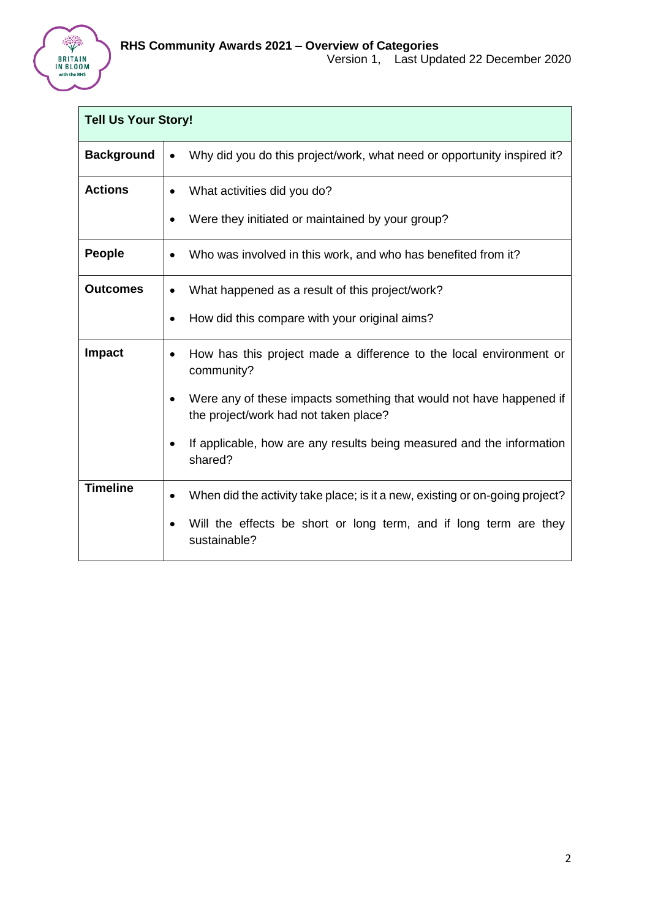

| <b>Tell Us Your Story!</b> |                                                                                                                                                                                                                                                                           |
|----------------------------|---------------------------------------------------------------------------------------------------------------------------------------------------------------------------------------------------------------------------------------------------------------------------|
| <b>Background</b>          | Why did you do this project/work, what need or opportunity inspired it?<br>$\bullet$                                                                                                                                                                                      |
| <b>Actions</b>             | What activities did you do?<br>Were they initiated or maintained by your group?                                                                                                                                                                                           |
| <b>People</b>              | Who was involved in this work, and who has benefited from it?                                                                                                                                                                                                             |
| <b>Outcomes</b>            | What happened as a result of this project/work?<br>How did this compare with your original aims?                                                                                                                                                                          |
| <b>Impact</b>              | How has this project made a difference to the local environment or<br>community?<br>Were any of these impacts something that would not have happened if<br>the project/work had not taken place?<br>If applicable, how are any results being measured and the information |
| <b>Timeline</b>            | shared?<br>When did the activity take place; is it a new, existing or on-going project?                                                                                                                                                                                   |
|                            | Will the effects be short or long term, and if long term are they<br>sustainable?                                                                                                                                                                                         |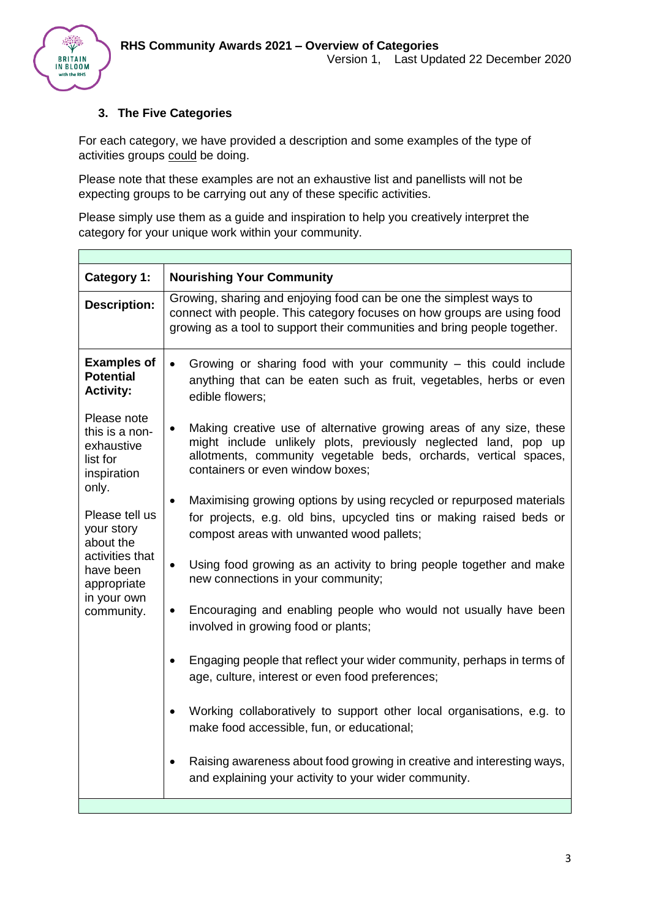

 $\Gamma$ 

### **3. The Five Categories**

For each category, we have provided a description and some examples of the type of activities groups could be doing.

Please note that these examples are not an exhaustive list and panellists will not be expecting groups to be carrying out any of these specific activities.

Please simply use them as a guide and inspiration to help you creatively interpret the category for your unique work within your community.

| <b>Category 1:</b>                                                                                                                                                                                       | <b>Nourishing Your Community</b>                                                                                                                                                                                                               |
|----------------------------------------------------------------------------------------------------------------------------------------------------------------------------------------------------------|------------------------------------------------------------------------------------------------------------------------------------------------------------------------------------------------------------------------------------------------|
| <b>Description:</b>                                                                                                                                                                                      | Growing, sharing and enjoying food can be one the simplest ways to<br>connect with people. This category focuses on how groups are using food<br>growing as a tool to support their communities and bring people together.                     |
| <b>Examples of</b><br><b>Potential</b><br><b>Activity:</b>                                                                                                                                               | Growing or sharing food with your community – this could include<br>$\bullet$<br>anything that can be eaten such as fruit, vegetables, herbs or even<br>edible flowers;                                                                        |
| Please note<br>this is a non-<br>exhaustive<br>list for<br>inspiration<br>only.<br>Please tell us<br>your story<br>about the<br>activities that<br>have been<br>appropriate<br>in your own<br>community. | Making creative use of alternative growing areas of any size, these<br>might include unlikely plots, previously neglected land, pop up<br>allotments, community vegetable beds, orchards, vertical spaces,<br>containers or even window boxes; |
|                                                                                                                                                                                                          | Maximising growing options by using recycled or repurposed materials<br>$\bullet$<br>for projects, e.g. old bins, upcycled tins or making raised beds or<br>compost areas with unwanted wood pallets;                                          |
|                                                                                                                                                                                                          | Using food growing as an activity to bring people together and make<br>$\bullet$<br>new connections in your community;                                                                                                                         |
|                                                                                                                                                                                                          | Encouraging and enabling people who would not usually have been<br>$\bullet$<br>involved in growing food or plants;                                                                                                                            |
|                                                                                                                                                                                                          | Engaging people that reflect your wider community, perhaps in terms of<br>age, culture, interest or even food preferences;                                                                                                                     |
|                                                                                                                                                                                                          | Working collaboratively to support other local organisations, e.g. to<br>make food accessible, fun, or educational;                                                                                                                            |
|                                                                                                                                                                                                          | Raising awareness about food growing in creative and interesting ways,<br>٠<br>and explaining your activity to your wider community.                                                                                                           |
|                                                                                                                                                                                                          |                                                                                                                                                                                                                                                |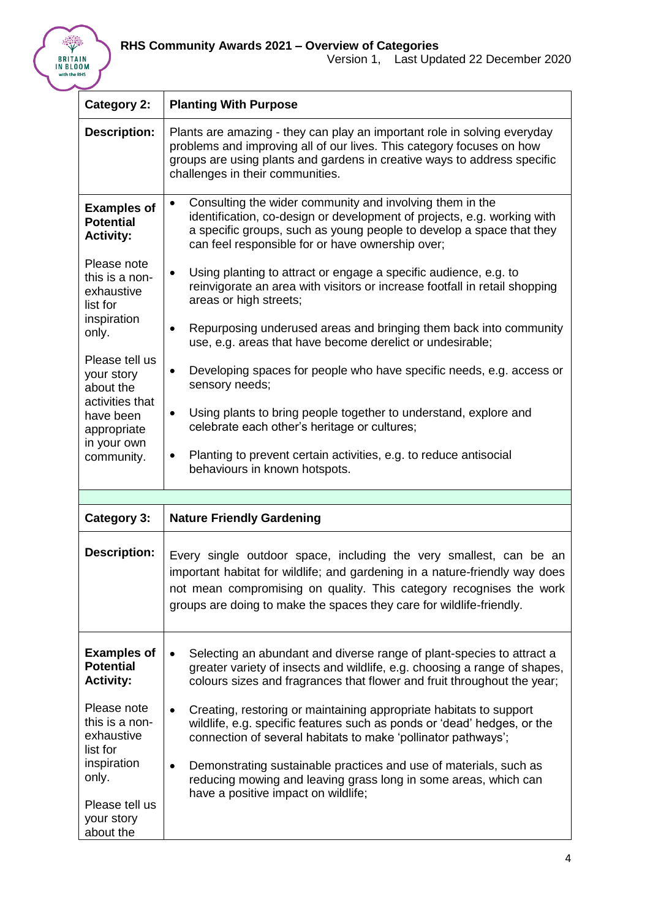

| <b>Category 2:</b>                                                                                                                                        | <b>Planting With Purpose</b>                                                                                                                                                                                                                                                                                                                                                                                                                                          |
|-----------------------------------------------------------------------------------------------------------------------------------------------------------|-----------------------------------------------------------------------------------------------------------------------------------------------------------------------------------------------------------------------------------------------------------------------------------------------------------------------------------------------------------------------------------------------------------------------------------------------------------------------|
| <b>Description:</b>                                                                                                                                       | Plants are amazing - they can play an important role in solving everyday<br>problems and improving all of our lives. This category focuses on how<br>groups are using plants and gardens in creative ways to address specific<br>challenges in their communities.                                                                                                                                                                                                     |
| <b>Examples of</b><br><b>Potential</b><br><b>Activity:</b><br>Please note<br>this is a non-<br>exhaustive                                                 | Consulting the wider community and involving them in the<br>$\bullet$<br>identification, co-design or development of projects, e.g. working with<br>a specific groups, such as young people to develop a space that they<br>can feel responsible for or have ownership over;<br>Using planting to attract or engage a specific audience, e.g. to<br>$\bullet$<br>reinvigorate an area with visitors or increase footfall in retail shopping<br>areas or high streets; |
| list for<br>inspiration<br>only.<br>Please tell us<br>your story<br>about the<br>activities that<br>have been<br>appropriate<br>in your own<br>community. | Repurposing underused areas and bringing them back into community<br>$\bullet$<br>use, e.g. areas that have become derelict or undesirable;<br>Developing spaces for people who have specific needs, e.g. access or<br>$\bullet$<br>sensory needs;<br>Using plants to bring people together to understand, explore and<br>$\bullet$<br>celebrate each other's heritage or cultures;                                                                                   |
|                                                                                                                                                           | Planting to prevent certain activities, e.g. to reduce antisocial<br>$\bullet$<br>behaviours in known hotspots.                                                                                                                                                                                                                                                                                                                                                       |
|                                                                                                                                                           |                                                                                                                                                                                                                                                                                                                                                                                                                                                                       |
| Category 3:                                                                                                                                               | <b>Nature Friendly Gardening</b>                                                                                                                                                                                                                                                                                                                                                                                                                                      |
| <b>Description:</b>                                                                                                                                       | Every single outdoor space, including the very smallest, can be an<br>important habitat for wildlife; and gardening in a nature-friendly way does<br>not mean compromising on quality. This category recognises the work<br>groups are doing to make the spaces they care for wildlife-friendly.                                                                                                                                                                      |
| <b>Examples of</b><br><b>Potential</b><br><b>Activity:</b>                                                                                                | Selecting an abundant and diverse range of plant-species to attract a<br>$\bullet$<br>greater variety of insects and wildlife, e.g. choosing a range of shapes,<br>colours sizes and fragrances that flower and fruit throughout the year;                                                                                                                                                                                                                            |
| Please note<br>this is a non-<br>exhaustive<br>list for<br>inspiration<br>only.<br>Please tell us<br>your story<br>about the                              | Creating, restoring or maintaining appropriate habitats to support<br>$\bullet$<br>wildlife, e.g. specific features such as ponds or 'dead' hedges, or the<br>connection of several habitats to make 'pollinator pathways';<br>Demonstrating sustainable practices and use of materials, such as<br>reducing mowing and leaving grass long in some areas, which can<br>have a positive impact on wildlife;                                                            |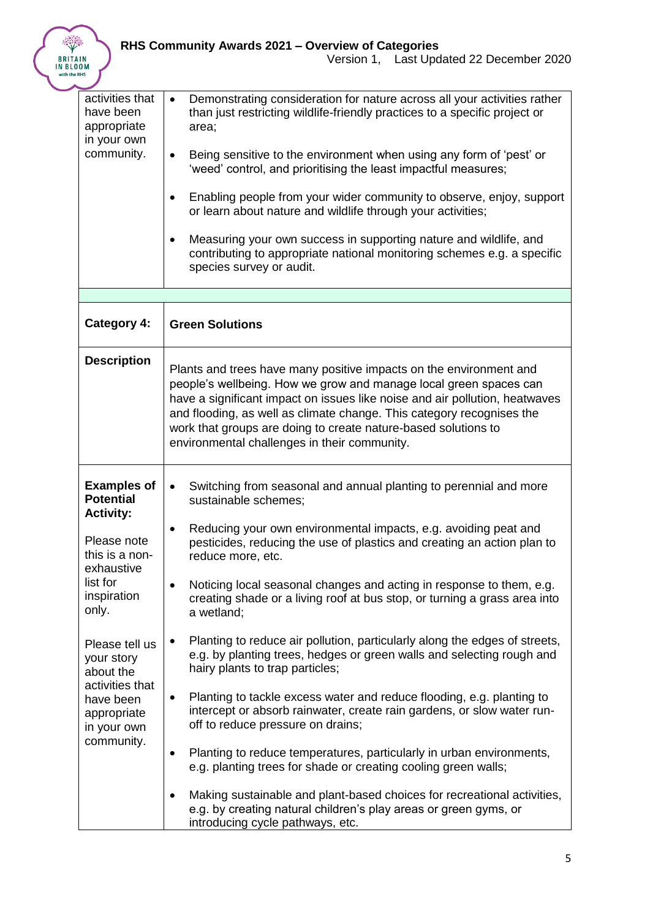

| activities that                      | Demonstrating consideration for nature across all your activities rather<br>$\bullet$                                                                                                        |
|--------------------------------------|----------------------------------------------------------------------------------------------------------------------------------------------------------------------------------------------|
| have been<br>appropriate             | than just restricting wildlife-friendly practices to a specific project or<br>area;                                                                                                          |
| in your own                          |                                                                                                                                                                                              |
| community.                           | Being sensitive to the environment when using any form of 'pest' or<br>$\bullet$<br>'weed' control, and prioritising the least impactful measures;                                           |
|                                      | Enabling people from your wider community to observe, enjoy, support<br>$\bullet$<br>or learn about nature and wildlife through your activities;                                             |
|                                      | Measuring your own success in supporting nature and wildlife, and<br>$\bullet$<br>contributing to appropriate national monitoring schemes e.g. a specific                                    |
|                                      | species survey or audit.                                                                                                                                                                     |
|                                      |                                                                                                                                                                                              |
| <b>Category 4:</b>                   | <b>Green Solutions</b>                                                                                                                                                                       |
| <b>Description</b>                   | Plants and trees have many positive impacts on the environment and                                                                                                                           |
|                                      | people's wellbeing. How we grow and manage local green spaces can                                                                                                                            |
|                                      | have a significant impact on issues like noise and air pollution, heatwaves<br>and flooding, as well as climate change. This category recognises the                                         |
|                                      | work that groups are doing to create nature-based solutions to                                                                                                                               |
|                                      | environmental challenges in their community.                                                                                                                                                 |
| <b>Examples of</b>                   | Switching from seasonal and annual planting to perennial and more<br>$\bullet$                                                                                                               |
| <b>Potential</b><br><b>Activity:</b> | sustainable schemes;                                                                                                                                                                         |
| Please note                          | Reducing your own environmental impacts, e.g. avoiding peat and<br>$\bullet$                                                                                                                 |
| this is a non-                       | pesticides, reducing the use of plastics and creating an action plan to<br>reduce more, etc.                                                                                                 |
| exhaustive<br>list for               | Noticing local seasonal changes and acting in response to them, e.g.<br>$\bullet$                                                                                                            |
| inspiration<br>only.                 | creating shade or a living roof at bus stop, or turning a grass area into<br>a wetland;                                                                                                      |
| Please tell us                       | Planting to reduce air pollution, particularly along the edges of streets,<br>$\bullet$                                                                                                      |
| your story<br>about the              | e.g. by planting trees, hedges or green walls and selecting rough and<br>hairy plants to trap particles;                                                                                     |
| activities that<br>have been         | Planting to tackle excess water and reduce flooding, e.g. planting to<br>$\bullet$                                                                                                           |
| appropriate<br>in your own           | intercept or absorb rainwater, create rain gardens, or slow water run-<br>off to reduce pressure on drains;                                                                                  |
| community.                           | Planting to reduce temperatures, particularly in urban environments,<br>$\bullet$                                                                                                            |
|                                      | e.g. planting trees for shade or creating cooling green walls;                                                                                                                               |
|                                      | Making sustainable and plant-based choices for recreational activities,<br>$\bullet$<br>e.g. by creating natural children's play areas or green gyms, or<br>introducing cycle pathways, etc. |